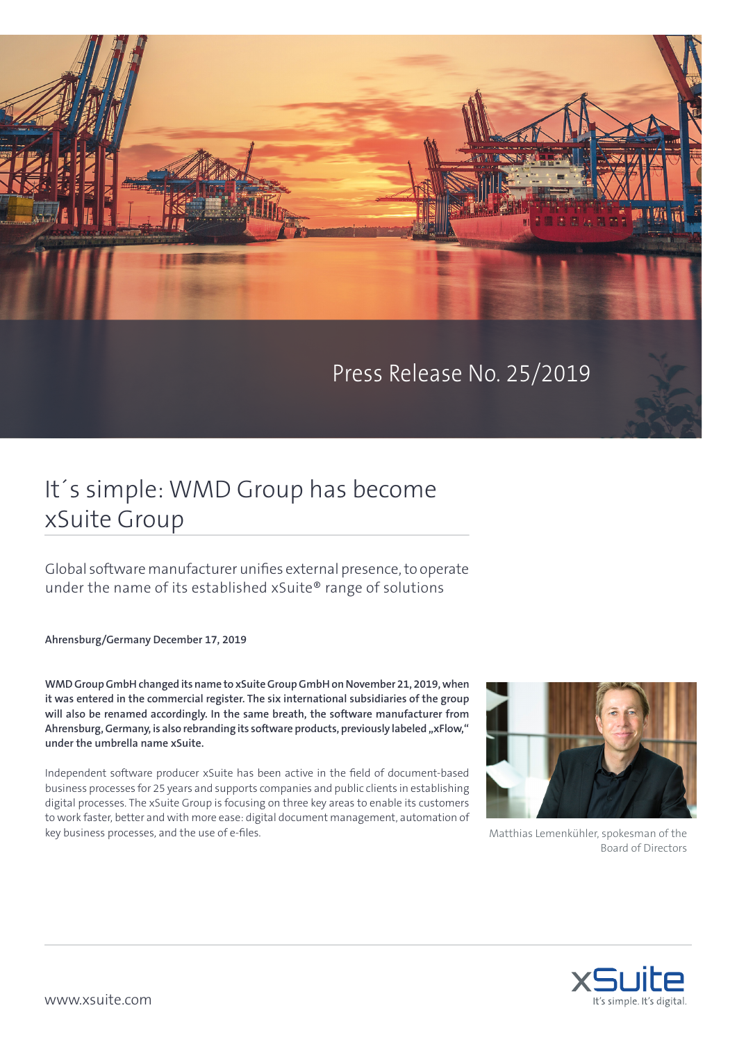

Press Release No. 25/2019

## It´s simple: WMD Group has become xSuite Group

Global software manufacturer unifies external presence, to operate under the name of its established xSuite® range of solutions

**Ahrensburg/Germany December 17, 2019**

**WMD Group GmbH changed its name to xSuite Group GmbH on November 21, 2019, when it was entered in the commercial register. The six international subsidiaries of the group will also be renamed accordingly. In the same breath, the software manufacturer from**  Ahrensburg, Germany, is also rebranding its software products, previously labeled "xFlow," **under the umbrella name xSuite.** 

Independent software producer xSuite has been active in the field of document-based business processes for 25 years and supports companies and public clients in establishing digital processes. The xSuite Group is focusing on three key areas to enable its customers to work faster, better and with more ease: digital document management, automation of key business processes, and the use of e-files.



Matthias Lemenkühler, spokesman of the Board of Directors